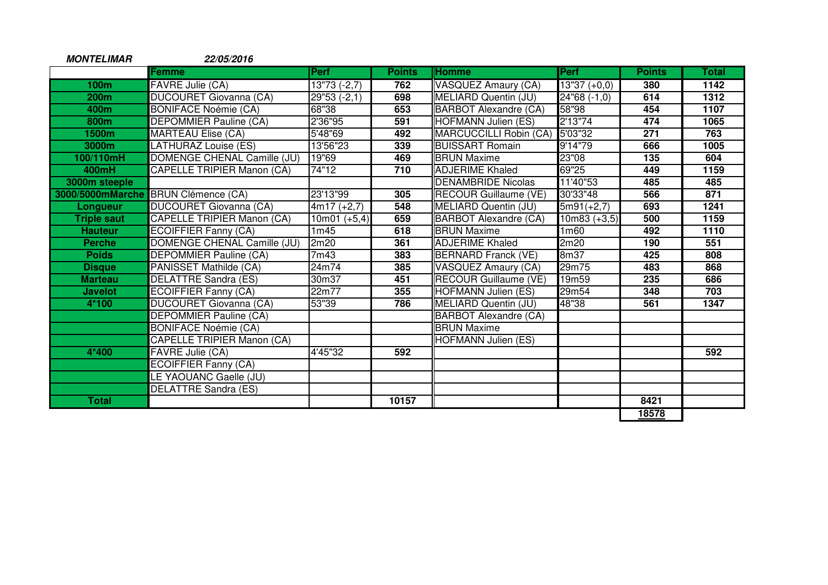| <b>MONTELIMAR</b>  | 22/05/2016                        |                        |               |                              |                  |               |       |
|--------------------|-----------------------------------|------------------------|---------------|------------------------------|------------------|---------------|-------|
|                    | <b>Femme</b>                      | <b>Perf</b>            | <b>Points</b> | <b>Homme</b>                 | Perf             | <b>Points</b> | Total |
| 100 <sub>m</sub>   | <b>FAVRE Julie (CA)</b>           | $13"73(-2,7)$          | 762           | <b>VASQUEZ Amaury (CA)</b>   | $13"37 (+0,0)$   | 380           | 1142  |
| <b>200m</b>        | <b>DUCOURET Giovanna (CA)</b>     | $\sqrt{29}$ "53 (-2,1) | 698           | <b>MELIARD Quentin (JU)</b>  | 24"68 (-1,0)     | 614           | 1312  |
| 400m               | <b>BONIFACE Noémie (CA)</b>       | 68"38                  | 653           | <b>BARBOT Alexandre (CA)</b> | 58"98            | 454           | 1107  |
| 800m               | <b>DEPOMMIER Pauline (CA)</b>     | 2'36"95                | 591           | <b>HOFMANN Julien (ES)</b>   | 2'13''74         | 474           | 1065  |
| 1500m              | <b>MARTEAU Elise (CA)</b>         | 5'48"69                | 492           | MARCUCCILLI Robin (CA)       | 5'03"32          | 271           | 763   |
| 3000m              | LATHURAZ Louise (ES)              | 13'56"23               | 339           | <b>BUISSART Romain</b>       | 9'14"79          | 666           | 1005  |
| 100/110mH          | DOMENGE CHENAL Camille (JU)       | 19"69                  | 469           | <b>BRUN Maxime</b>           | 23"08            | 135           | 604   |
| 400mH              | <b>CAPELLE TRIPIER Manon (CA)</b> | 74"12                  | 710           | <b>ADJERIME Khaled</b>       | 69"25            | 449           | 1159  |
| 3000m steeple      |                                   |                        |               | <b>DENAMBRIDE Nicolas</b>    | 11'40"53         | 485           | 485   |
| 3000/5000mMarche   | <b>BRUN Clémence (CA)</b>         | 23'13"99               | 305           | <b>RECOUR Guillaume (VE)</b> | 30'33"48         | 566           | 871   |
| Longueur           | <b>DUCOURET Giovanna (CA)</b>     | $4m17 (+2,7)$          | 548           | MELIARD Quentin (JU)         | $5m91(+2,7)$     | 693           | 1241  |
| <b>Triple saut</b> | <b>CAPELLE TRIPIER Manon (CA)</b> | $10m01 (+5,4)$         | 659           | <b>BARBOT Alexandre (CA)</b> | $10m83 (+3,5)$   | 500           | 1159  |
| <b>Hauteur</b>     | <b>ECOIFFIER Fanny (CA)</b>       | 1m45                   | 618           | <b>BRUN Maxime</b>           | 1 <sub>m60</sub> | 492           | 1110  |
| <b>Perche</b>      | DOMENGE CHENAL Camille (JU)       | 2m20                   | 361           | <b>ADJERIME Khaled</b>       | 2m20             | 190           | 551   |
| <b>Poids</b>       | <b>DEPOMMIER Pauline (CA)</b>     | 7m43                   | 383           | <b>BERNARD Franck (VE)</b>   | 8m37             | 425           | 808   |
| <b>Disque</b>      | PANISSET Mathilde (CA)            | 24m74                  | 385           | <b>VASQUEZ Amaury (CA)</b>   | 29m75            | 483           | 868   |
| <b>Marteau</b>     | <b>DELATTRE Sandra (ES)</b>       | 30m37                  | 451           | RECOUR Guillaume (VE)        | 19m59            | 235           | 686   |
| <b>Javelot</b>     | <b>ECOIFFIER Fanny (CA)</b>       | 22m77                  | 355           | <b>HOFMANN Julien (ES)</b>   | 29m54            | 348           | 703   |
| 4*100              | DUCOURET Giovanna (CA)            | 53"39                  | 786           | MELIARD Quentin (JU)         | 48"38            | 561           | 1347  |
|                    | <b>DEPOMMIER Pauline (CA)</b>     |                        |               | <b>BARBOT Alexandre (CA)</b> |                  |               |       |
|                    | <b>BONIFACE Noémie (CA)</b>       |                        |               | <b>BRUN Maxime</b>           |                  |               |       |
|                    | <b>CAPELLE TRIPIER Manon (CA)</b> |                        |               | <b>HOFMANN Julien (ES)</b>   |                  |               |       |
| 4*400              | FAVRE Julie (CA)                  | 4'45"32                | 592           |                              |                  |               | 592   |
|                    | <b>ECOIFFIER Fanny (CA)</b>       |                        |               |                              |                  |               |       |
|                    | LE YAOUANC Gaelle (JU)            |                        |               |                              |                  |               |       |
|                    | <b>DELATTRE Sandra (ES)</b>       |                        |               |                              |                  |               |       |
| <b>Total</b>       |                                   |                        | 10157         |                              |                  | 8421          |       |
|                    |                                   |                        |               |                              |                  | 18578         |       |